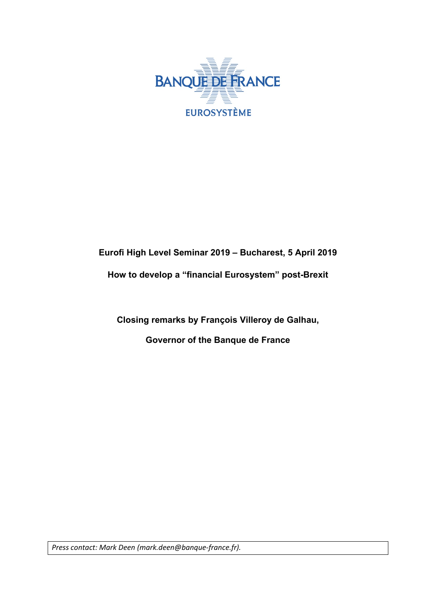

## **Eurofi High Level Seminar 2019 – Bucharest, 5 April 2019**

# **How to develop a "financial Eurosystem" post-Brexit**

**Closing remarks by François Villeroy de Galhau,**

**Governor of the Banque de France**

*Press contact: Mark Deen (mark.deen@banque-france.fr).*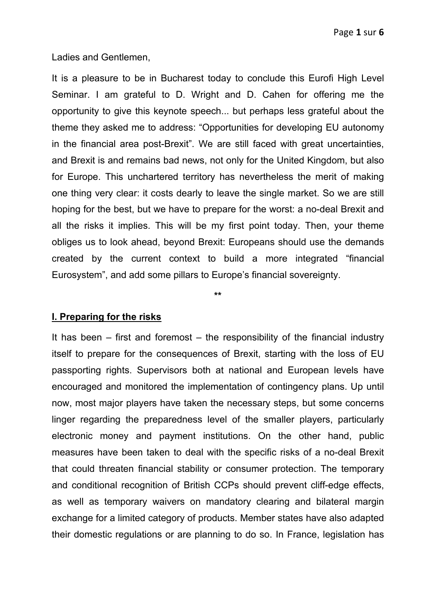Ladies and Gentlemen,

It is a pleasure to be in Bucharest today to conclude this Eurofi High Level Seminar. I am grateful to D. Wright and D. Cahen for offering me the opportunity to give this keynote speech... but perhaps less grateful about the theme they asked me to address: "Opportunities for developing EU autonomy in the financial area post-Brexit". We are still faced with great uncertainties, and Brexit is and remains bad news, not only for the United Kingdom, but also for Europe. This unchartered territory has nevertheless the merit of making one thing very clear: it costs dearly to leave the single market. So we are still hoping for the best, but we have to prepare for the worst: a no-deal Brexit and all the risks it implies. This will be my first point today. Then, your theme obliges us to look ahead, beyond Brexit: Europeans should use the demands created by the current context to build a more integrated "financial Eurosystem", and add some pillars to Europe's financial sovereignty.

**\*\***

### **I. Preparing for the risks**

It has been  $-$  first and foremost  $-$  the responsibility of the financial industry itself to prepare for the consequences of Brexit, starting with the loss of EU passporting rights. Supervisors both at national and European levels have encouraged and monitored the implementation of contingency plans. Up until now, most major players have taken the necessary steps, but some concerns linger regarding the preparedness level of the smaller players, particularly electronic money and payment institutions. On the other hand, public measures have been taken to deal with the specific risks of a no-deal Brexit that could threaten financial stability or consumer protection. The temporary and conditional recognition of British CCPs should prevent cliff-edge effects, as well as temporary waivers on mandatory clearing and bilateral margin exchange for a limited category of products. Member states have also adapted their domestic regulations or are planning to do so. In France, legislation has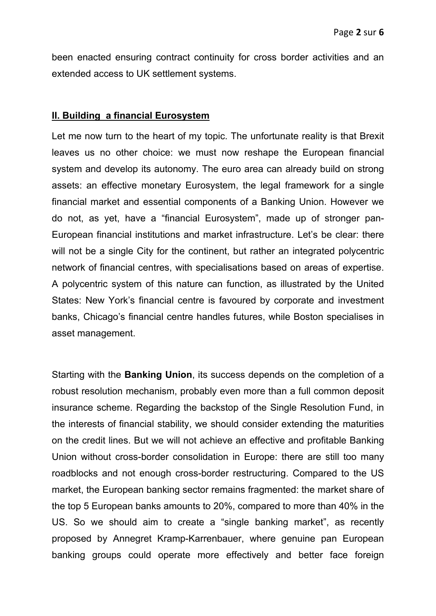been enacted ensuring contract continuity for cross border activities and an extended access to UK settlement systems.

### **II. Building a financial Eurosystem**

Let me now turn to the heart of my topic. The unfortunate reality is that Brexit leaves us no other choice: we must now reshape the European financial system and develop its autonomy. The euro area can already build on strong assets: an effective monetary Eurosystem, the legal framework for a single financial market and essential components of a Banking Union. However we do not, as yet, have a "financial Eurosystem", made up of stronger pan-European financial institutions and market infrastructure. Let's be clear: there will not be a single City for the continent, but rather an integrated polycentric network of financial centres, with specialisations based on areas of expertise. A polycentric system of this nature can function, as illustrated by the United States: New York's financial centre is favoured by corporate and investment banks, Chicago's financial centre handles futures, while Boston specialises in asset management.

Starting with the **Banking Union**, its success depends on the completion of a robust resolution mechanism, probably even more than a full common deposit insurance scheme. Regarding the backstop of the Single Resolution Fund, in the interests of financial stability, we should consider extending the maturities on the credit lines. But we will not achieve an effective and profitable Banking Union without cross-border consolidation in Europe: there are still too many roadblocks and not enough cross-border restructuring. Compared to the US market, the European banking sector remains fragmented: the market share of the top 5 European banks amounts to 20%, compared to more than 40% in the US. So we should aim to create a "single banking market", as recently proposed by Annegret Kramp-Karrenbauer, where genuine pan European banking groups could operate more effectively and better face foreign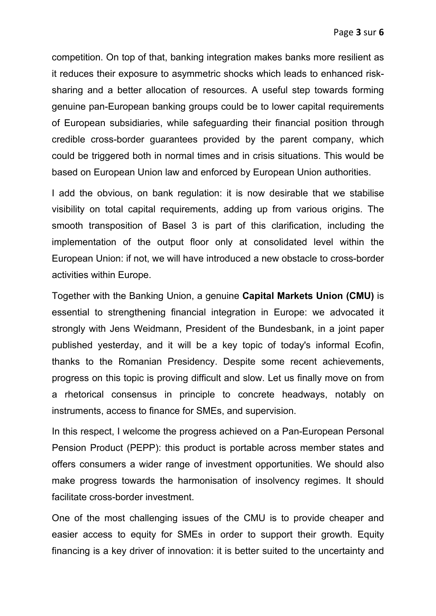competition. On top of that, banking integration makes banks more resilient as it reduces their exposure to asymmetric shocks which leads to enhanced risksharing and a better allocation of resources. A useful step towards forming genuine pan-European banking groups could be to lower capital requirements of European subsidiaries, while safeguarding their financial position through credible cross-border guarantees provided by the parent company, which could be triggered both in normal times and in crisis situations. This would be based on European Union law and enforced by European Union authorities.

I add the obvious, on bank regulation: it is now desirable that we stabilise visibility on total capital requirements, adding up from various origins. The smooth transposition of Basel 3 is part of this clarification, including the implementation of the output floor only at consolidated level within the European Union: if not, we will have introduced a new obstacle to cross-border activities within Europe.

Together with the Banking Union, a genuine **Capital Markets Union (CMU)** is essential to strengthening financial integration in Europe: we advocated it strongly with Jens Weidmann, President of the Bundesbank, in a joint paper published yesterday, and it will be a key topic of today's informal Ecofin, thanks to the Romanian Presidency. Despite some recent achievements, progress on this topic is proving difficult and slow. Let us finally move on from a rhetorical consensus in principle to concrete headways, notably on instruments, access to finance for SMEs, and supervision.

In this respect, I welcome the progress achieved on a Pan-European Personal Pension Product (PEPP): this product is portable across member states and offers consumers a wider range of investment opportunities. We should also make progress towards the harmonisation of insolvency regimes. It should facilitate cross-border investment.

One of the most challenging issues of the CMU is to provide cheaper and easier access to equity for SMEs in order to support their growth. Equity financing is a key driver of innovation: it is better suited to the uncertainty and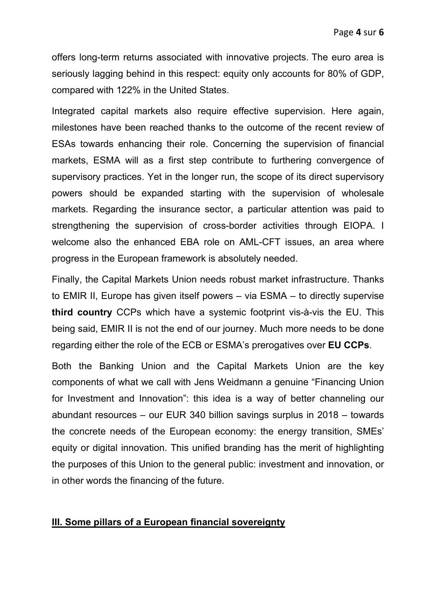offers long-term returns associated with innovative projects. The euro area is seriously lagging behind in this respect: equity only accounts for 80% of GDP, compared with 122% in the United States.

Integrated capital markets also require effective supervision. Here again, milestones have been reached thanks to the outcome of the recent review of ESAs towards enhancing their role. Concerning the supervision of financial markets, ESMA will as a first step contribute to furthering convergence of supervisory practices. Yet in the longer run, the scope of its direct supervisory powers should be expanded starting with the supervision of wholesale markets. Regarding the insurance sector, a particular attention was paid to strengthening the supervision of cross-border activities through EIOPA. I welcome also the enhanced EBA role on AML-CFT issues, an area where progress in the European framework is absolutely needed.

Finally, the Capital Markets Union needs robust market infrastructure. Thanks to EMIR II, Europe has given itself powers – via ESMA – to directly supervise **third country** CCPs which have a systemic footprint vis-à-vis the EU. This being said, EMIR II is not the end of our journey. Much more needs to be done regarding either the role of the ECB or ESMA's prerogatives over **EU CCPs**.

Both the Banking Union and the Capital Markets Union are the key components of what we call with Jens Weidmann a genuine "Financing Union for Investment and Innovation": this idea is a way of better channeling our abundant resources – our EUR 340 billion savings surplus in 2018 – towards the concrete needs of the European economy: the energy transition, SMEs' equity or digital innovation. This unified branding has the merit of highlighting the purposes of this Union to the general public: investment and innovation, or in other words the financing of the future.

### **III. Some pillars of a European financial sovereignty**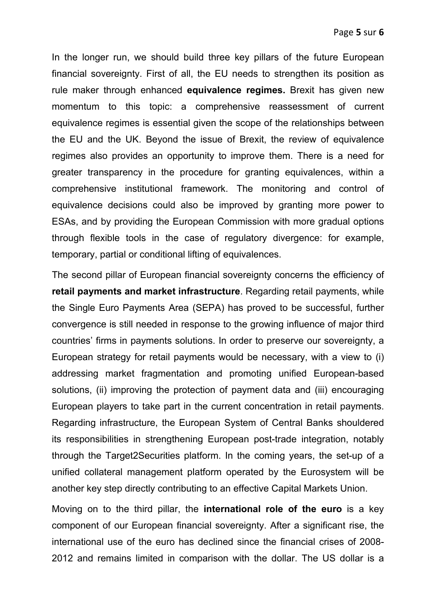In the longer run, we should build three key pillars of the future European financial sovereignty. First of all, the EU needs to strengthen its position as rule maker through enhanced **equivalence regimes.** Brexit has given new momentum to this topic: a comprehensive reassessment of current equivalence regimes is essential given the scope of the relationships between the EU and the UK. Beyond the issue of Brexit, the review of equivalence regimes also provides an opportunity to improve them. There is a need for greater transparency in the procedure for granting equivalences, within a comprehensive institutional framework. The monitoring and control of equivalence decisions could also be improved by granting more power to ESAs, and by providing the European Commission with more gradual options through flexible tools in the case of regulatory divergence: for example, temporary, partial or conditional lifting of equivalences.

The second pillar of European financial sovereignty concerns the efficiency of **retail payments and market infrastructure**. Regarding retail payments, while the Single Euro Payments Area (SEPA) has proved to be successful, further convergence is still needed in response to the growing influence of major third countries' firms in payments solutions. In order to preserve our sovereignty, a European strategy for retail payments would be necessary, with a view to (i) addressing market fragmentation and promoting unified European-based solutions, (ii) improving the protection of payment data and (iii) encouraging European players to take part in the current concentration in retail payments. Regarding infrastructure, the European System of Central Banks shouldered its responsibilities in strengthening European post-trade integration, notably through the Target2Securities platform. In the coming years, the set-up of a unified collateral management platform operated by the Eurosystem will be another key step directly contributing to an effective Capital Markets Union.

Moving on to the third pillar, the **international role of the euro** is a key component of our European financial sovereignty. After a significant rise, the international use of the euro has declined since the financial crises of 2008- 2012 and remains limited in comparison with the dollar. The US dollar is a